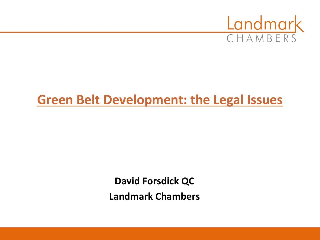

### **Green Belt Development: the Legal Issues**

**David Forsdick QC Landmark Chambers**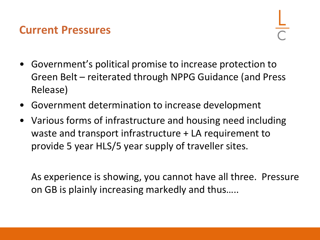#### **Current Pressures**

- Government's political promise to increase protection to Green Belt – reiterated through NPPG Guidance (and Press Release)
- Government determination to increase development
- Various forms of infrastructure and housing need including waste and transport infrastructure + LA requirement to provide 5 year HLS/5 year supply of traveller sites.

As experience is showing, you cannot have all three. Pressure on GB is plainly increasing markedly and thus…..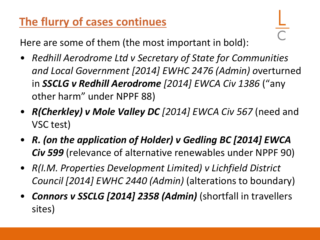### **The flurry of cases continues**

Here are some of them (the most important in bold):

- *Redhill Aerodrome Ltd v Secretary of State for Communities and Local Government [2014] EWHC 2476 (Admin) o*verturned in *SSCLG v Redhill Aerodrome [2014] EWCA Civ 1386* ("any other harm" under NPPF 88)
- *R(Cherkley) v Mole Valley DC [2014] EWCA Civ 567* (need and VSC test)
- *R. (on the application of Holder) v Gedling BC [2014] EWCA Civ 599* (relevance of alternative renewables under NPPF 90)
- *R(I.M. Properties Development Limited) v Lichfield District Council [2014] EWHC 2440 (Admin)* (alterations to boundary)
- *Connors v SSCLG [2014] 2358 (Admin)* (shortfall in travellers sites)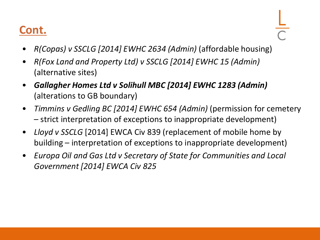#### **Cont.**

- *R(Copas) v SSCLG [2014] EWHC 2634 (Admin)* (affordable housing)
- *R(Fox Land and Property Ltd) v SSCLG [2014] EWHC 15 (Admin)*  (alternative sites)
- *Gallagher Homes Ltd v Solihull MBC [2014] EWHC 1283 (Admin)*  (alterations to GB boundary)
- *Timmins v Gedling BC [2014] EWHC 654 (Admin)* (permission for cemetery – strict interpretation of exceptions to inappropriate development)
- *Lloyd v SSCLG* [2014] EWCA Civ 839 (replacement of mobile home by building – interpretation of exceptions to inappropriate development)
- *Europa Oil and Gas Ltd v Secretary of State for Communities and Local Government [2014] EWCA Civ 825*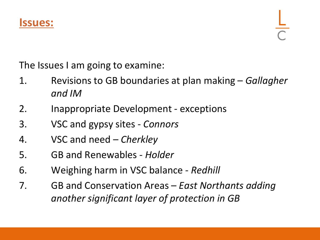

The Issues I am going to examine:

- 1. Revisions to GB boundaries at plan making *Gallagher and IM*
- 2. Inappropriate Development exceptions
- 3. VSC and gypsy sites *Connors*
- 4. VSC and need *Cherkley*
- 5. GB and Renewables *Holder*
- 6. Weighing harm in VSC balance *Redhill*
- 7. GB and Conservation Areas *East Northants adding another significant layer of protection in GB*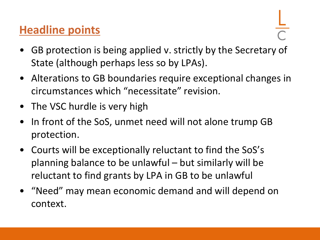#### **Headline points**

- GB protection is being applied v. strictly by the Secretary of State (although perhaps less so by LPAs).
- Alterations to GB boundaries require exceptional changes in circumstances which "necessitate" revision.
- The VSC hurdle is very high
- In front of the SoS, unmet need will not alone trump GB protection.
- Courts will be exceptionally reluctant to find the SoS's planning balance to be unlawful – but similarly will be reluctant to find grants by LPA in GB to be unlawful
- "Need" may mean economic demand and will depend on context.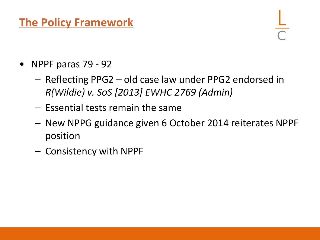#### **The Policy Framework**

- NPPF paras 79 92
	- Reflecting PPG2 old case law under PPG2 endorsed in *R(Wildie) v. SoS [2013] EWHC 2769 (Admin)*
	- Essential tests remain the same
	- New NPPG guidance given 6 October 2014 reiterates NPPF position
	- Consistency with NPPF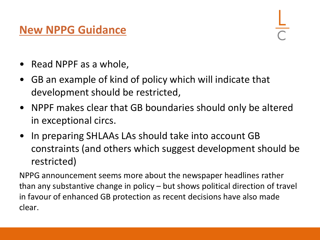#### **New NPPG Guidance**

- Read NPPF as a whole,
- GB an example of kind of policy which will indicate that development should be restricted,
- NPPF makes clear that GB boundaries should only be altered in exceptional circs.
- In preparing SHLAAs LAs should take into account GB constraints (and others which suggest development should be restricted)

NPPG announcement seems more about the newspaper headlines rather than any substantive change in policy – but shows political direction of travel in favour of enhanced GB protection as recent decisions have also made clear.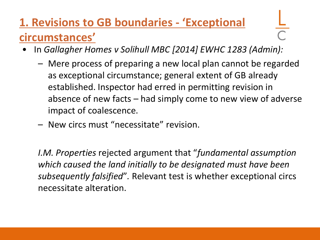## **1. Revisions to GB boundaries - 'Exceptional circumstances'**

- In *Gallagher Homes v Solihull MBC [2014] EWHC 1283 (Admin):*
	- Mere process of preparing a new local plan cannot be regarded as exceptional circumstance; general extent of GB already established. Inspector had erred in permitting revision in absence of new facts – had simply come to new view of adverse impact of coalescence.
	- New circs must "necessitate" revision.

*I.M. Properties* rejected argument that "*fundamental assumption which caused the land initially to be designated must have been subsequently falsified*"*.* Relevant test is whether exceptional circs necessitate alteration.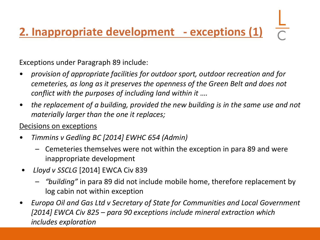# **2. Inappropriate development - exceptions (1)**

Exceptions under Paragraph 89 include:

- *provision of appropriate facilities for outdoor sport, outdoor recreation and for cemeteries, as long as it preserves the openness of the Green Belt and does not conflict with the purposes of including land within it ….*
- the replacement of a building, provided the new building is in the same use and not *materially larger than the one it replaces;*

#### Decisions on exceptions

- *Timmins v Gedling BC [2014] EWHC 654 (Admin)*
	- Cemeteries themselves were not within the exception in para 89 and were inappropriate development
- *Lloyd v SSCLG* [2014] EWCA Civ 839
	- *"building"* in para 89 did not include mobile home, therefore replacement by log cabin not within exception
- *Europa Oil and Gas Ltd v Secretary of State for Communities and Local Government [2014] EWCA Civ 825 – para 90 exceptions include mineral extraction which includes exploration*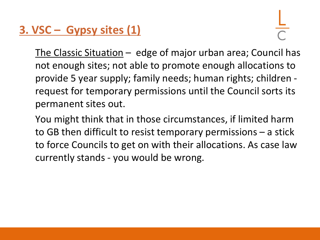#### **3. VSC – Gypsy sites (1)**

The Classic Situation – edge of major urban area; Council has not enough sites; not able to promote enough allocations to provide 5 year supply; family needs; human rights; children request for temporary permissions until the Council sorts its permanent sites out.

You might think that in those circumstances, if limited harm to GB then difficult to resist temporary permissions – a stick to force Councils to get on with their allocations. As case law currently stands - you would be wrong.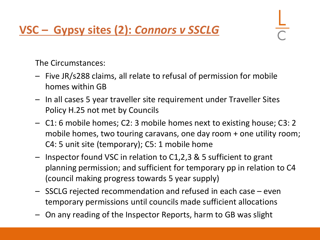#### **VSC – Gypsy sites (2):** *Connors v SSCLG*

The Circumstances:

- Five JR/s288 claims, all relate to refusal of permission for mobile homes within GB
- In all cases 5 year traveller site requirement under Traveller Sites Policy H.25 not met by Councils
- C1: 6 mobile homes; C2: 3 mobile homes next to existing house; C3: 2 mobile homes, two touring caravans, one day room + one utility room; C4: 5 unit site (temporary); C5: 1 mobile home
- Inspector found VSC in relation to C1,2,3 & 5 sufficient to grant planning permission; and sufficient for temporary pp in relation to C4 (council making progress towards 5 year supply)
- SSCLG rejected recommendation and refused in each case even temporary permissions until councils made sufficient allocations
- On any reading of the Inspector Reports, harm to GB was slight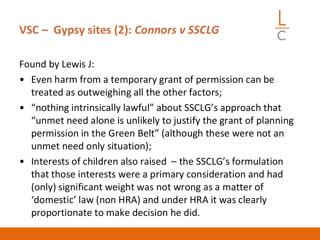#### **VSC – Gypsy sites (2):** *Connors v SSCLG*

Found by Lewis J:

- Even harm from a temporary grant of permission can be treated as outweighing all the other factors;
- "nothing intrinsically lawful" about SSCLG's approach that "unmet need alone is unlikely to justify the grant of planning permission in the Green Belt" (although these were not an unmet need only situation);
- Interests of children also raised the SSCLG's formulation that those interests were a primary consideration and had (only) significant weight was not wrong as a matter of 'domestic' law (non HRA) and under HRA it was clearly proportionate to make decision he did.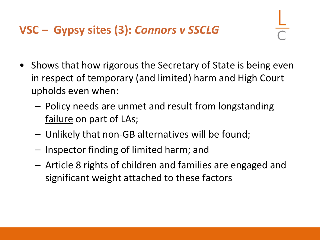#### **VSC – Gypsy sites (3):** *Connors v SSCLG*

- Shows that how rigorous the Secretary of State is being even in respect of temporary (and limited) harm and High Court upholds even when:
	- Policy needs are unmet and result from longstanding failure on part of LAs;
	- Unlikely that non-GB alternatives will be found;
	- Inspector finding of limited harm; and
	- Article 8 rights of children and families are engaged and significant weight attached to these factors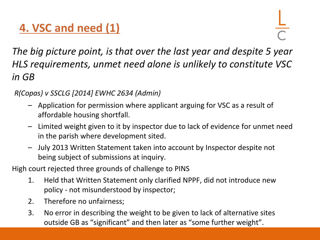### **4. VSC and need (1)**

*The big picture point, is that over the last year and despite 5 year HLS requirements, unmet need alone is unlikely to constitute VSC in GB* 

#### *R(Copas) v SSCLG [2014] EWHC 2634 (Admin)*

- Application for permission where applicant arguing for VSC as a result of affordable housing shortfall.
- Limited weight given to it by inspector due to lack of evidence for unmet need in the parish where development sited.
- July 2013 Written Statement taken into account by Inspector despite not being subject of submissions at inquiry.

High court rejected three grounds of challenge to PINS

- 1. Held that Written Statement only clarified NPPF, did not introduce new policy - not misunderstood by inspector;
- 2. Therefore no unfairness;
- 3. No error in describing the weight to be given to lack of alternative sites outside GB as "significant" and then later as "some further weight".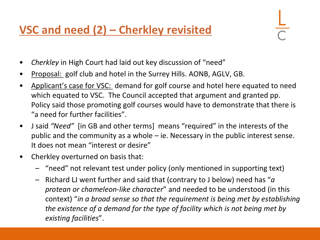#### **VSC and need (2) – Cherkley revisited**

- *Cherkley* in High Court had laid out key discussion of "need"
- Proposal: golf club and hotel in the Surrey Hills. AONB, AGLV, GB.
- Applicant's case for VSC: demand for golf course and hotel here equated to need which equated to VSC. The Council accepted that argument and granted pp. Policy said those promoting golf courses would have to demonstrate that there is "a need for further facilities".
- J said *"Need"* [in GB and other terms] means "required" in the interests of the public and the community as a whole – ie. Necessary in the public interest sense. It does not mean "interest or desire"
- Cherkley overturned on basis that:
	- "need" not relevant test under policy (only mentioned in supporting text)
	- Richard LJ went further and said that (contrary to J below) need has "*a protean or chameleon-like character*" and needed to be understood (in this context) "*in a broad sense so that the requirement is being met by establishing the existence of a demand for the type of facility which is not being met by existing facilities*".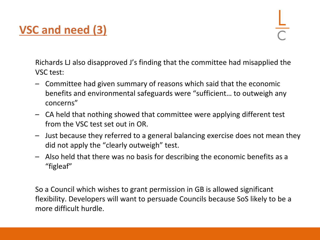#### **VSC and need (3)**

Richards LJ also disapproved J's finding that the committee had misapplied the VSC test:

- Committee had given summary of reasons which said that the economic benefits and environmental safeguards were "sufficient… to outweigh any concerns"
- CA held that nothing showed that committee were applying different test from the VSC test set out in OR.
- Just because they referred to a general balancing exercise does not mean they did not apply the "clearly outweigh" test.
- Also held that there was no basis for describing the economic benefits as a "figleaf"

So a Council which wishes to grant permission in GB is allowed significant flexibility. Developers will want to persuade Councils because SoS likely to be a more difficult hurdle.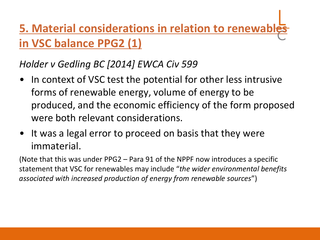# **5. Material considerations in relation to renewab in VSC balance PPG2 (1)**

*Holder v Gedling BC [2014] EWCA Civ 599*

- In context of VSC test the potential for other less intrusive forms of renewable energy, volume of energy to be produced, and the economic efficiency of the form proposed were both relevant considerations.
- It was a legal error to proceed on basis that they were immaterial.

(Note that this was under PPG2 – Para 91 of the NPPF now introduces a specific statement that VSC for renewables may include "*the wider environmental benefits associated with increased production of energy from renewable sources*")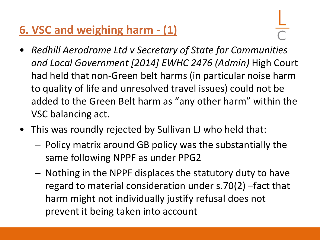#### **6. VSC and weighing harm - (1)**

- 
- *Redhill Aerodrome Ltd v Secretary of State for Communities and Local Government [2014] EWHC 2476 (Admin)* High Court had held that non-Green belt harms (in particular noise harm to quality of life and unresolved travel issues) could not be added to the Green Belt harm as "any other harm" within the VSC balancing act.
- This was roundly rejected by Sullivan LJ who held that:
	- Policy matrix around GB policy was the substantially the same following NPPF as under PPG2
	- Nothing in the NPPF displaces the statutory duty to have regard to material consideration under s.70(2) –fact that harm might not individually justify refusal does not prevent it being taken into account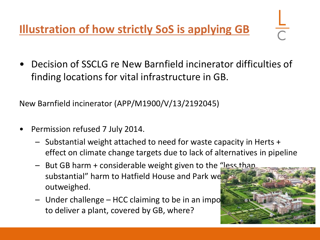**Illustration of how strictly SoS is applying GB**

• Decision of SSCLG re New Barnfield incinerator difficulties of finding locations for vital infrastructure in GB.

New Barnfield incinerator (APP/M1900/V/13/2192045)

- Permission refused 7 July 2014.
	- Substantial weight attached to need for waste capacity in Herts + effect on climate change targets due to lack of alternatives in pipeline
	- But GB harm + considerable weight given to the "less than substantial" harm to Hatfield House and Park we outweighed.
	- Under challenge HCC claiming to be in an imposition to deliver a plant, covered by GB, where?

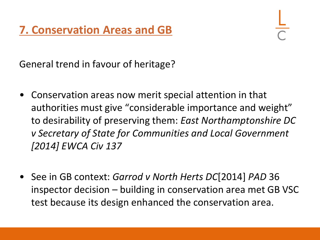General trend in favour of heritage?

- Conservation areas now merit special attention in that authorities must give "considerable importance and weight" to desirability of preserving them: *East Northamptonshire DC v Secretary of State for Communities and Local Government [2014] EWCA Civ 137*
- See in GB context: *Garrod v North Herts DC*[2014] *PAD* 36 inspector decision – building in conservation area met GB VSC test because its design enhanced the conservation area.